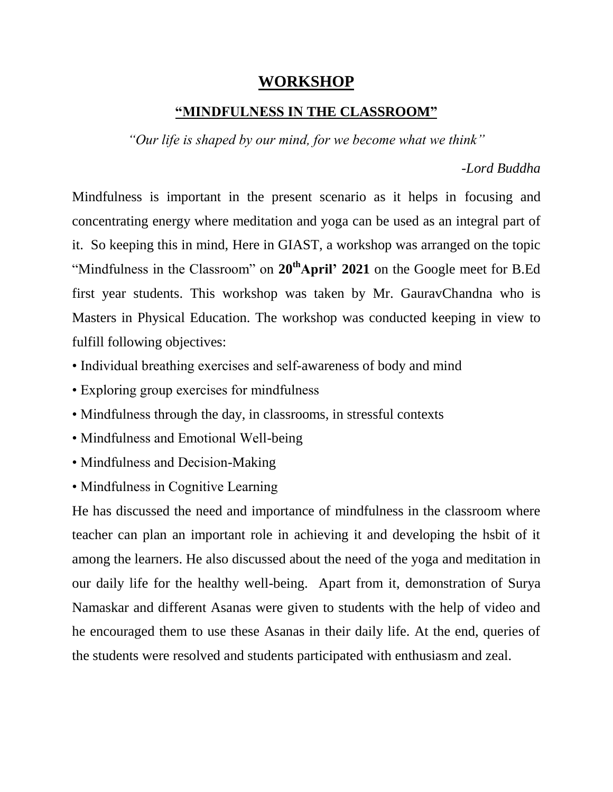## **WORKSHOP**

## **"MINDFULNESS IN THE CLASSROOM"**

*"Our life is shaped by our mind, for we become what we think"*

*-Lord Buddha*

Mindfulness is important in the present scenario as it helps in focusing and concentrating energy where meditation and yoga can be used as an integral part of it. So keeping this in mind, Here in GIAST, a workshop was arranged on the topic "Mindfulness in the Classroom" on **20thApril' 2021** on the Google meet for B.Ed first year students. This workshop was taken by Mr. GauravChandna who is Masters in Physical Education. The workshop was conducted keeping in view to fulfill following objectives:

- Individual breathing exercises and self-awareness of body and mind
- Exploring group exercises for mindfulness
- Mindfulness through the day, in classrooms, in stressful contexts
- Mindfulness and Emotional Well-being
- Mindfulness and Decision-Making
- Mindfulness in Cognitive Learning

He has discussed the need and importance of mindfulness in the classroom where teacher can plan an important role in achieving it and developing the hsbit of it among the learners. He also discussed about the need of the yoga and meditation in our daily life for the healthy well-being. Apart from it, demonstration of Surya Namaskar and different Asanas were given to students with the help of video and he encouraged them to use these Asanas in their daily life. At the end, queries of the students were resolved and students participated with enthusiasm and zeal.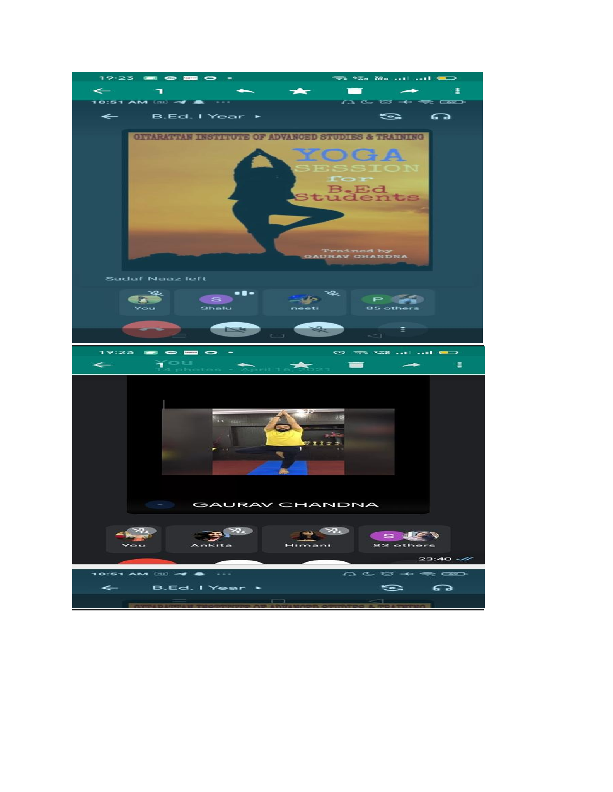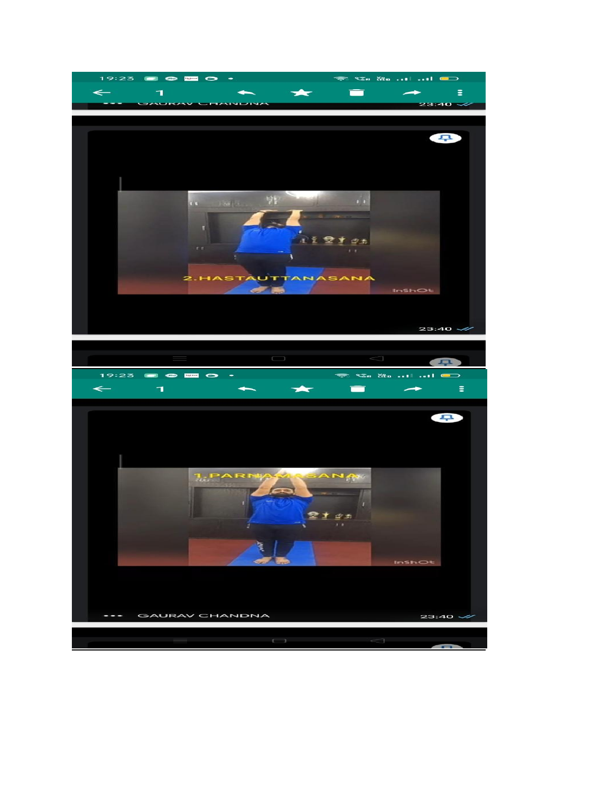